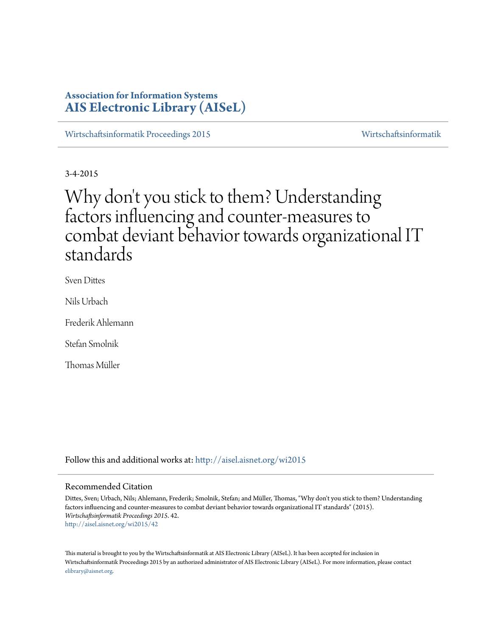# **Association for Information Systems [AIS Electronic Library \(AISeL\)](http://aisel.aisnet.org?utm_source=aisel.aisnet.org%2Fwi2015%2F42&utm_medium=PDF&utm_campaign=PDFCoverPages)**

[Wirtschaftsinformatik Proceedings 2015](http://aisel.aisnet.org/wi2015?utm_source=aisel.aisnet.org%2Fwi2015%2F42&utm_medium=PDF&utm_campaign=PDFCoverPages) [Wirtschaftsinformatik](http://aisel.aisnet.org/wi?utm_source=aisel.aisnet.org%2Fwi2015%2F42&utm_medium=PDF&utm_campaign=PDFCoverPages)

3-4-2015

# Why don't you stick to them? Understanding factors influencing and counter-measures to combat deviant behavior towards organizational IT standards

Sven Dittes

Nils Urbach

Frederik Ahlemann

Stefan Smolnik

Thomas Müller

Follow this and additional works at: [http://aisel.aisnet.org/wi2015](http://aisel.aisnet.org/wi2015?utm_source=aisel.aisnet.org%2Fwi2015%2F42&utm_medium=PDF&utm_campaign=PDFCoverPages)

#### Recommended Citation

Dittes, Sven; Urbach, Nils; Ahlemann, Frederik; Smolnik, Stefan; and Müller, Thomas, "Why don't you stick to them? Understanding factors influencing and counter-measures to combat deviant behavior towards organizational IT standards" (2015). *Wirtschaftsinformatik Proceedings 2015*. 42. [http://aisel.aisnet.org/wi2015/42](http://aisel.aisnet.org/wi2015/42?utm_source=aisel.aisnet.org%2Fwi2015%2F42&utm_medium=PDF&utm_campaign=PDFCoverPages)

This material is brought to you by the Wirtschaftsinformatik at AIS Electronic Library (AISeL). It has been accepted for inclusion in Wirtschaftsinformatik Proceedings 2015 by an authorized administrator of AIS Electronic Library (AISeL). For more information, please contact [elibrary@aisnet.org.](mailto:elibrary@aisnet.org%3E)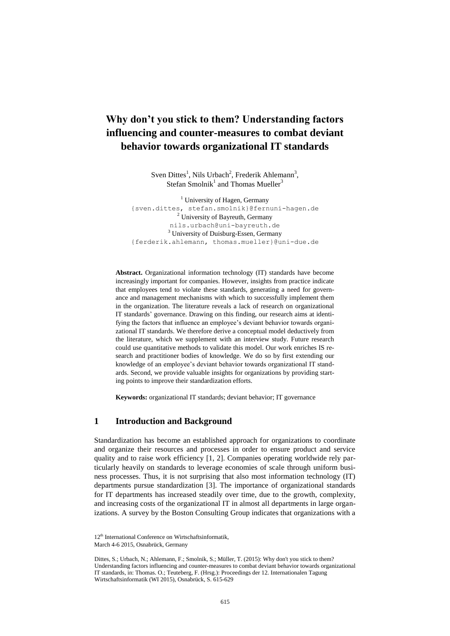# **Why don't you stick to them? Understanding factors influencing and counter-measures to combat deviant behavior towards organizational IT standards**

Sven Dittes<sup>1</sup>, Nils Urbach<sup>2</sup>, Frederik Ahlemann<sup>3</sup>, Stefan Smolnik<sup>1</sup> and Thomas Mueller<sup>3</sup>

 $<sup>1</sup>$  University of Hagen, Germany</sup> {sven.dittes, stefan.smolnik}@fernuni-hagen.de <sup>2</sup> University of Bayreuth, Germany [nils.urbach@uni-bayreuth.de](mailto:nils.urbach@uni-bayreuth.de) <sup>3</sup> University of Duisburg-Essen, Germany {ferderik.ahlemann, thomas.mueller}@uni-due.de

**Abstract.** Organizational information technology (IT) standards have become increasingly important for companies. However, insights from practice indicate that employees tend to violate these standards, generating a need for governance and management mechanisms with which to successfully implement them in the organization. The literature reveals a lack of research on organizational IT standards' governance. Drawing on this finding, our research aims at identifying the factors that influence an employee's deviant behavior towards organizational IT standards. We therefore derive a conceptual model deductively from the literature, which we supplement with an interview study. Future research could use quantitative methods to validate this model. Our work enriches IS research and practitioner bodies of knowledge. We do so by first extending our knowledge of an employee's deviant behavior towards organizational IT standards. Second, we provide valuable insights for organizations by providing starting points to improve their standardization efforts.

**Keywords:** organizational IT standards; deviant behavior; IT governance

#### **1 Introduction and Background**

Standardization has become an established approach for organizations to coordinate and organize their resources and processes in order to ensure product and service quality and to raise work efficiency [1, 2]. Companies operating worldwide rely particularly heavily on standards to leverage economies of scale through uniform business processes. Thus, it is not surprising that also most information technology (IT) departments pursue standardization [3]. The importance of organizational standards for IT departments has increased steadily over time, due to the growth, complexity, and increasing costs of the organizational IT in almost all departments in large organizations. A survey by the Boston Consulting Group indicates that organizations with a

<sup>12&</sup>lt;sup>th</sup> International Conference on Wirtschaftsinformatik,

March 4-6 2015, Osnabrück, Germany

Dittes, S.; Urbach, N.; Ahlemann, F.; Smolnik, S.; Müller, T. (2015): Why don't you stick to them? Understanding factors influencing and counter-measures to combat deviant behavior towards organizational IT standards, in: Thomas. O.; Teuteberg, F. (Hrsg.): Proceedings der 12. Internationalen Tagung Wirtschaftsinformatik (WI 2015), Osnabrück, S. 615-629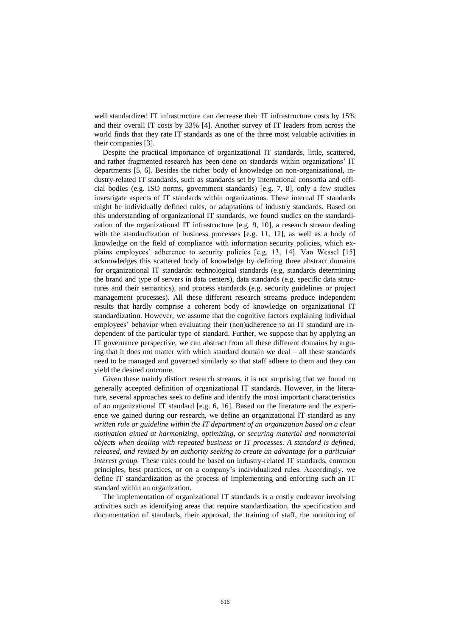well standardized IT infrastructure can decrease their IT infrastructure costs by 15% and their overall IT costs by 33% [4]. Another survey of IT leaders from across the world finds that they rate IT standards as one of the three most valuable activities in their companies [3].

Despite the practical importance of organizational IT standards, little, scattered, and rather fragmented research has been done on standards within organizations' IT departments [5, 6]. Besides the richer body of knowledge on non-organizational, industry-related IT standards, such as standards set by international consortia and official bodies (e.g. ISO norms, government standards) [e.g. 7, 8], only a few studies investigate aspects of IT standards within organizations. These internal IT standards might be individually defined rules, or adaptations of industry standards. Based on this understanding of organizational IT standards, we found studies on the standardization of the organizational IT infrastructure [e.g. 9, 10], a research stream dealing with the standardization of business processes [e.g. 11, 12], as well as a body of knowledge on the field of compliance with information security policies, which explains employees' adherence to security policies [e.g. 13, 14]. Van Wessel [15] acknowledges this scattered body of knowledge by defining three abstract domains for organizational IT standards: technological standards (e.g. standards determining the brand and type of servers in data centers), data standards (e.g. specific data structures and their semantics), and process standards (e.g. security guidelines or project management processes). All these different research streams produce independent results that hardly comprise a coherent body of knowledge on organizational IT standardization. However, we assume that the cognitive factors explaining individual employees' behavior when evaluating their (non)adherence to an IT standard are independent of the particular type of standard. Further, we suppose that by applying an IT governance perspective, we can abstract from all these different domains by arguing that it does not matter with which standard domain we deal – all these standards need to be managed and governed similarly so that staff adhere to them and they can yield the desired outcome.

Given these mainly distinct research streams, it is not surprising that we found no generally accepted definition of organizational IT standards. However, in the literature, several approaches seek to define and identify the most important characteristics of an organizational IT standard [e.g. 6, 16]. Based on the literature and the experience we gained during our research, we define an organizational IT standard as any *written rule or guideline within the IT department of an organization based on a clear motivation aimed at harmonizing, optimizing, or securing material and nonmaterial objects when dealing with repeated business or IT processes. A standard is defined, released, and revised by an authority seeking to create an advantage for a particular interest group.* These rules could be based on industry-related IT standards, common principles, best practices, or on a company's individualized rules. Accordingly, we define IT standardization as the process of implementing and enforcing such an IT standard within an organization.

The implementation of organizational IT standards is a costly endeavor involving activities such as identifying areas that require standardization, the specification and documentation of standards, their approval, the training of staff, the monitoring of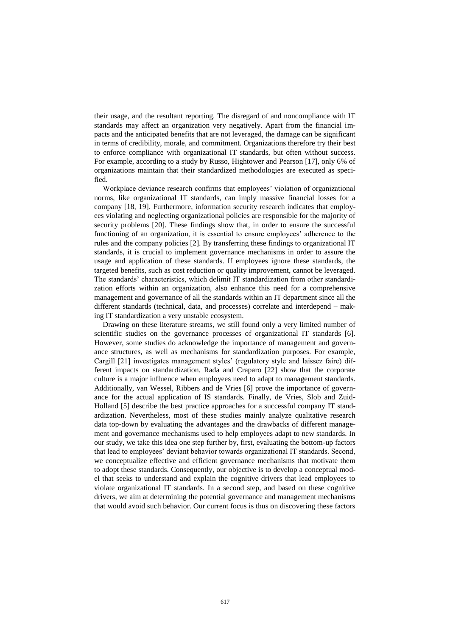their usage, and the resultant reporting. The disregard of and noncompliance with IT standards may affect an organization very negatively. Apart from the financial impacts and the anticipated benefits that are not leveraged, the damage can be significant in terms of credibility, morale, and commitment. Organizations therefore try their best to enforce compliance with organizational IT standards, but often without success. For example, according to a study by Russo, Hightower and Pearson [17], only 6% of organizations maintain that their standardized methodologies are executed as specified.

Workplace deviance research confirms that employees' violation of organizational norms, like organizational IT standards, can imply massive financial losses for a company [18, 19]. Furthermore, information security research indicates that employees violating and neglecting organizational policies are responsible for the majority of security problems [20]. These findings show that, in order to ensure the successful functioning of an organization, it is essential to ensure employees' adherence to the rules and the company policies [2]. By transferring these findings to organizational IT standards, it is crucial to implement governance mechanisms in order to assure the usage and application of these standards. If employees ignore these standards, the targeted benefits, such as cost reduction or quality improvement, cannot be leveraged. The standards' characteristics, which delimit IT standardization from other standardization efforts within an organization, also enhance this need for a comprehensive management and governance of all the standards within an IT department since all the different standards (technical, data, and processes) correlate and interdepend – making IT standardization a very unstable ecosystem.

Drawing on these literature streams, we still found only a very limited number of scientific studies on the governance processes of organizational IT standards [6]. However, some studies do acknowledge the importance of management and governance structures, as well as mechanisms for standardization purposes. For example, Cargill [21] investigates management styles' (regulatory style and laissez faire) different impacts on standardization. Rada and Craparo [22] show that the corporate culture is a major influence when employees need to adapt to management standards. Additionally, van Wessel, Ribbers and de Vries [6] prove the importance of governance for the actual application of IS standards. Finally, de Vries, Slob and Zuid-Holland [5] describe the best practice approaches for a successful company IT standardization. Nevertheless, most of these studies mainly analyze qualitative research data top-down by evaluating the advantages and the drawbacks of different management and governance mechanisms used to help employees adapt to new standards. In our study, we take this idea one step further by, first, evaluating the bottom-up factors that lead to employees' deviant behavior towards organizational IT standards. Second, we conceptualize effective and efficient governance mechanisms that motivate them to adopt these standards. Consequently, our objective is to develop a conceptual model that seeks to understand and explain the cognitive drivers that lead employees to violate organizational IT standards. In a second step, and based on these cognitive drivers, we aim at determining the potential governance and management mechanisms that would avoid such behavior. Our current focus is thus on discovering these factors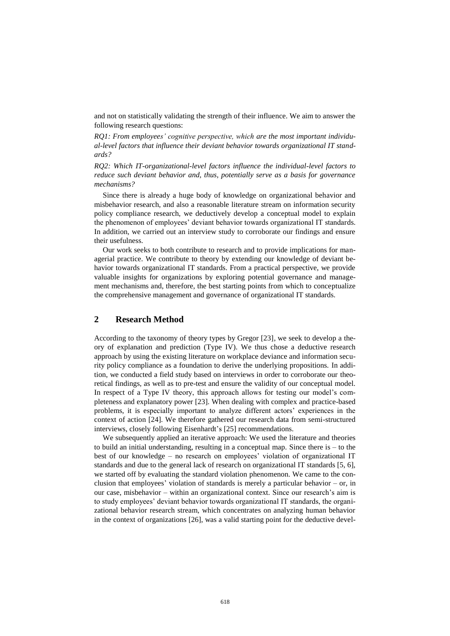and not on statistically validating the strength of their influence. We aim to answer the following research questions:

*RQ1: From employees' cognitive perspective, which are the most important individual-level factors that influence their deviant behavior towards organizational IT standards?*

*RQ2: Which IT-organizational-level factors influence the individual-level factors to reduce such deviant behavior and, thus, potentially serve as a basis for governance mechanisms?*

Since there is already a huge body of knowledge on organizational behavior and misbehavior research, and also a reasonable literature stream on information security policy compliance research, we deductively develop a conceptual model to explain the phenomenon of employees' deviant behavior towards organizational IT standards. In addition, we carried out an interview study to corroborate our findings and ensure their usefulness.

Our work seeks to both contribute to research and to provide implications for managerial practice. We contribute to theory by extending our knowledge of deviant behavior towards organizational IT standards. From a practical perspective, we provide valuable insights for organizations by exploring potential governance and management mechanisms and, therefore, the best starting points from which to conceptualize the comprehensive management and governance of organizational IT standards.

## **2 Research Method**

According to the taxonomy of theory types by Gregor [23], we seek to develop a theory of explanation and prediction (Type IV). We thus chose a deductive research approach by using the existing literature on workplace deviance and information security policy compliance as a foundation to derive the underlying propositions. In addition, we conducted a field study based on interviews in order to corroborate our theoretical findings, as well as to pre-test and ensure the validity of our conceptual model. In respect of a Type IV theory, this approach allows for testing our model's completeness and explanatory power [23]. When dealing with complex and practice-based problems, it is especially important to analyze different actors' experiences in the context of action [24]. We therefore gathered our research data from semi-structured interviews, closely following Eisenhardt's [25] recommendations.

We subsequently applied an iterative approach: We used the literature and theories to build an initial understanding, resulting in a conceptual map. Since there is – to the best of our knowledge – no research on employees' violation of organizational IT standards and due to the general lack of research on organizational IT standards [5, 6], we started off by evaluating the standard violation phenomenon. We came to the conclusion that employees' violation of standards is merely a particular behavior – or, in our case, misbehavior – within an organizational context. Since our research's aim is to study employees' deviant behavior towards organizational IT standards, the organizational behavior research stream, which concentrates on analyzing human behavior in the context of organizations [26], was a valid starting point for the deductive devel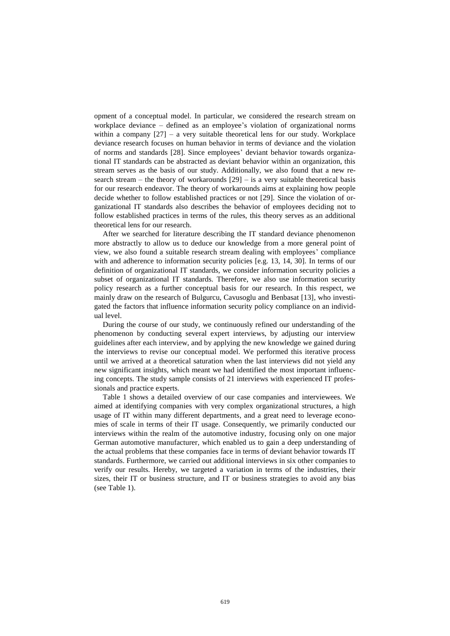opment of a conceptual model. In particular, we considered the research stream on workplace deviance – defined as an employee's violation of organizational norms within a company [27] – a very suitable theoretical lens for our study. Workplace deviance research focuses on human behavior in terms of deviance and the violation of norms and standards [28]. Since employees' deviant behavior towards organizational IT standards can be abstracted as deviant behavior within an organization, this stream serves as the basis of our study. Additionally, we also found that a new research stream – the theory of workarounds  $[29]$  – is a very suitable theoretical basis for our research endeavor. The theory of workarounds aims at explaining how people decide whether to follow established practices or not [29]. Since the violation of organizational IT standards also describes the behavior of employees deciding not to follow established practices in terms of the rules, this theory serves as an additional theoretical lens for our research.

After we searched for literature describing the IT standard deviance phenomenon more abstractly to allow us to deduce our knowledge from a more general point of view, we also found a suitable research stream dealing with employees' compliance with and adherence to information security policies [e.g. 13, 14, 30]. In terms of our definition of organizational IT standards, we consider information security policies a subset of organizational IT standards. Therefore, we also use information security policy research as a further conceptual basis for our research. In this respect, we mainly draw on the research of Bulgurcu, Cavusoglu and Benbasat [13], who investigated the factors that influence information security policy compliance on an individual level.

During the course of our study, we continuously refined our understanding of the phenomenon by conducting several expert interviews, by adjusting our interview guidelines after each interview, and by applying the new knowledge we gained during the interviews to revise our conceptual model. We performed this iterative process until we arrived at a theoretical saturation when the last interviews did not yield any new significant insights, which meant we had identified the most important influencing concepts. The study sample consists of 21 interviews with experienced IT professionals and practice experts.

Table 1 shows a detailed overview of our case companies and interviewees. We aimed at identifying companies with very complex organizational structures, a high usage of IT within many different departments, and a great need to leverage economies of scale in terms of their IT usage. Consequently, we primarily conducted our interviews within the realm of the automotive industry, focusing only on one major German automotive manufacturer, which enabled us to gain a deep understanding of the actual problems that these companies face in terms of deviant behavior towards IT standards. Furthermore, we carried out additional interviews in six other companies to verify our results. Hereby, we targeted a variation in terms of the industries, their sizes, their IT or business structure, and IT or business strategies to avoid any bias (see Table 1).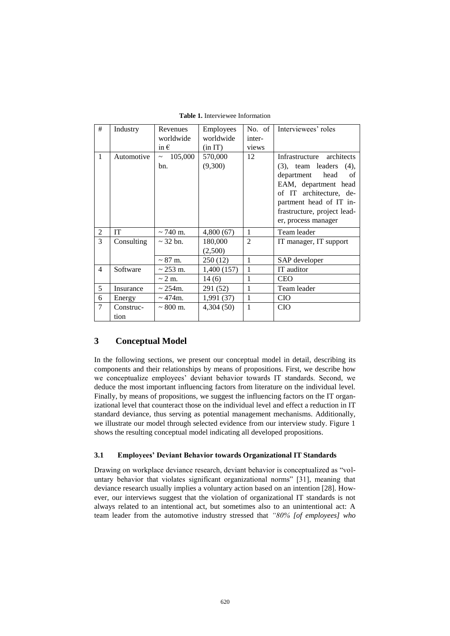| #              | Industry          | Revenues<br>worldwide | <b>Employees</b><br>worldwide | No. of $\overline{ }$<br>inter- | Interviewees' roles                                                                                                                                                                                                       |
|----------------|-------------------|-----------------------|-------------------------------|---------------------------------|---------------------------------------------------------------------------------------------------------------------------------------------------------------------------------------------------------------------------|
|                |                   | in $\epsilon$         | (in IT)                       | views                           |                                                                                                                                                                                                                           |
| 1              | Automotive        | 105,000<br>bn.        | 570,000<br>(9,300)            | 12                              | Infrastructure architects<br>$(3)$ , team leaders $(4)$ ,<br>department<br>head<br>of<br>EAM, department head<br>of IT architecture, de-<br>partment head of IT in-<br>frastructure, project lead-<br>er, process manager |
| 2              | <b>IT</b>         | $\sim$ 740 m.         | 4,800(67)                     | 1                               | Team leader                                                                                                                                                                                                               |
| 3              | Consulting        | $\sim$ 32 bn.         | 180,000<br>(2,500)            | $\mathfrak{D}$                  | IT manager, IT support                                                                                                                                                                                                    |
|                |                   | $\sim 87$ m.          | 250 (12)                      | $\mathbf{1}$                    | SAP developer                                                                                                                                                                                                             |
| $\overline{4}$ | Software          | $\sim$ 253 m.         | 1,400 (157)                   | $\mathbf{1}$                    | IT auditor                                                                                                                                                                                                                |
|                |                   | $\sim$ 2 m.           | 14(6)                         | 1                               | <b>CEO</b>                                                                                                                                                                                                                |
| 5              | Insurance         | $\sim$ 254m.          | 291 (52)                      |                                 | Team leader                                                                                                                                                                                                               |
| 6              | Energy            | $\sim$ 474m.          | 1,991 (37)                    | $\mathbf{1}$                    | <b>CIO</b>                                                                                                                                                                                                                |
| 7              | Construc-<br>tion | $\sim 800$ m.         | 4,304(50)                     | 1                               | <b>CIO</b>                                                                                                                                                                                                                |

**Table 1.** Interviewee Information

## **3 Conceptual Model**

In the following sections, we present our conceptual model in detail, describing its components and their relationships by means of propositions. First, we describe how we conceptualize employees' deviant behavior towards IT standards. Second, we deduce the most important influencing factors from literature on the individual level. Finally, by means of propositions, we suggest the influencing factors on the IT organizational level that counteract those on the individual level and effect a reduction in IT standard deviance, thus serving as potential management mechanisms. Additionally, we illustrate our model through selected evidence from our interview study. Figure 1 shows the resulting conceptual model indicating all developed propositions.

#### **3.1 Employees' Deviant Behavior towards Organizational IT Standards**

Drawing on workplace deviance research, deviant behavior is conceptualized as "voluntary behavior that violates significant organizational norms" [31], meaning that deviance research usually implies a voluntary action based on an intention [28]. However, our interviews suggest that the violation of organizational IT standards is not always related to an intentional act, but sometimes also to an unintentional act: A team leader from the automotive industry stressed that *"80% [of employees] who*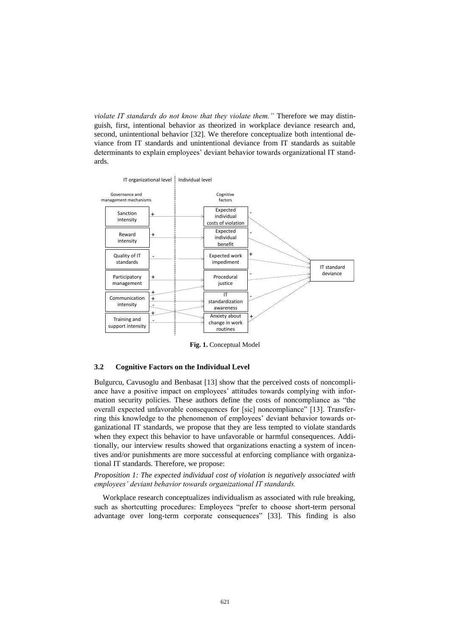*violate IT standards do not know that they violate them."* Therefore we may distinguish, first, intentional behavior as theorized in workplace deviance research and, second, unintentional behavior [32]. We therefore conceptualize both intentional deviance from IT standards and unintentional deviance from IT standards as suitable determinants to explain employees' deviant behavior towards organizational IT standards.



**Fig. 1.** Conceptual Model

#### **3.2 Cognitive Factors on the Individual Level**

Bulgurcu, Cavusoglu and Benbasat [13] show that the perceived costs of noncompliance have a positive impact on employees' attitudes towards complying with information security policies. These authors define the costs of noncompliance as "the overall expected unfavorable consequences for [sic] noncompliance" [13]. Transferring this knowledge to the phenomenon of employees' deviant behavior towards organizational IT standards, we propose that they are less tempted to violate standards when they expect this behavior to have unfavorable or harmful consequences. Additionally, our interview results showed that organizations enacting a system of incentives and/or punishments are more successful at enforcing compliance with organizational IT standards. Therefore, we propose:

*Proposition 1: The expected individual cost of violation is negatively associated with employees' deviant behavior towards organizational IT standards.*

Workplace research conceptualizes individualism as associated with rule breaking, such as shortcutting procedures: Employees "prefer to choose short-term personal advantage over long-term corporate consequences" [33]. This finding is also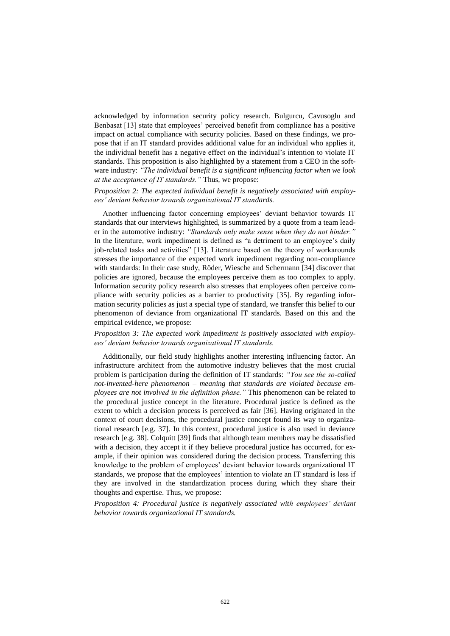acknowledged by information security policy research. Bulgurcu, Cavusoglu and Benbasat [13] state that employees' perceived benefit from compliance has a positive impact on actual compliance with security policies. Based on these findings, we propose that if an IT standard provides additional value for an individual who applies it, the individual benefit has a negative effect on the individual's intention to violate IT standards. This proposition is also highlighted by a statement from a CEO in the software industry: *"The individual benefit is a significant influencing factor when we look at the acceptance of IT standards."* Thus, we propose:

#### *Proposition 2: The expected individual benefit is negatively associated with employees' deviant behavior towards organizational IT standards.*

Another influencing factor concerning employees' deviant behavior towards IT standards that our interviews highlighted, is summarized by a quote from a team leader in the automotive industry: *"Standards only make sense when they do not hinder."* In the literature, work impediment is defined as "a detriment to an employee's daily job-related tasks and activities" [13]. Literature based on the theory of workarounds stresses the importance of the expected work impediment regarding non-compliance with standards: In their case study, Röder, Wiesche and Schermann [34] discover that policies are ignored, because the employees perceive them as too complex to apply. Information security policy research also stresses that employees often perceive compliance with security policies as a barrier to productivity [35]. By regarding information security policies as just a special type of standard, we transfer this belief to our phenomenon of deviance from organizational IT standards. Based on this and the empirical evidence, we propose:

#### *Proposition 3: The expected work impediment is positively associated with employees' deviant behavior towards organizational IT standards.*

Additionally, our field study highlights another interesting influencing factor. An infrastructure architect from the automotive industry believes that the most crucial problem is participation during the definition of IT standards: *"You see the so-called not-invented-here phenomenon – meaning that standards are violated because employees are not involved in the definition phase."* This phenomenon can be related to the procedural justice concept in the literature. Procedural justice is defined as the extent to which a decision process is perceived as fair [36]. Having originated in the context of court decisions, the procedural justice concept found its way to organizational research [e.g. 37]. In this context, procedural justice is also used in deviance research [e.g. 38]. Colquitt [39] finds that although team members may be dissatisfied with a decision, they accept it if they believe procedural justice has occurred, for example, if their opinion was considered during the decision process. Transferring this knowledge to the problem of employees' deviant behavior towards organizational IT standards, we propose that the employees' intention to violate an IT standard is less if they are involved in the standardization process during which they share their thoughts and expertise. Thus, we propose:

*Proposition 4: Procedural justice is negatively associated with employees' deviant behavior towards organizational IT standards.*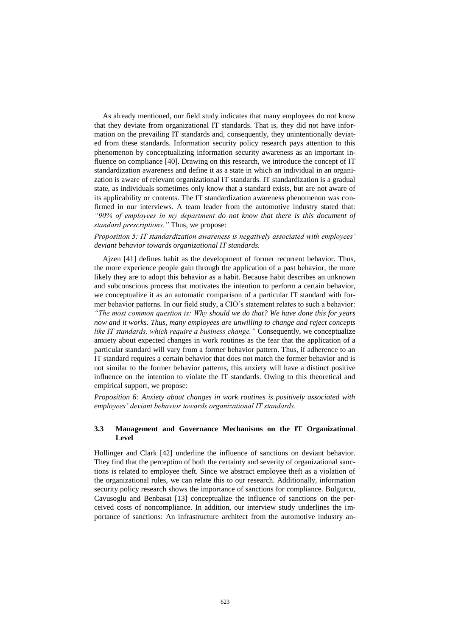As already mentioned, our field study indicates that many employees do not know that they deviate from organizational IT standards. That is, they did not have information on the prevailing IT standards and, consequently, they unintentionally deviated from these standards. Information security policy research pays attention to this phenomenon by conceptualizing information security awareness as an important influence on compliance [40]. Drawing on this research, we introduce the concept of IT standardization awareness and define it as a state in which an individual in an organization is aware of relevant organizational IT standards. IT standardization is a gradual state, as individuals sometimes only know that a standard exists, but are not aware of its applicability or contents. The IT standardization awareness phenomenon was confirmed in our interviews. A team leader from the automotive industry stated that: *"90% of employees in my department do not know that there is this document of standard prescriptions."* Thus, we propose:

*Proposition 5: IT standardization awareness is negatively associated with employees' deviant behavior towards organizational IT standards.*

Ajzen [41] defines habit as the development of former recurrent behavior. Thus, the more experience people gain through the application of a past behavior, the more likely they are to adopt this behavior as a habit. Because habit describes an unknown and subconscious process that motivates the intention to perform a certain behavior, we conceptualize it as an automatic comparison of a particular IT standard with former behavior patterns. In our field study, a CIO's statement relates to such a behavior: *"The most common question is: Why should we do that? We have done this for years now and it works. Thus, many employees are unwilling to change and reject concepts like IT standards, which require a business change."* Consequently, we conceptualize anxiety about expected changes in work routines as the fear that the application of a particular standard will vary from a former behavior pattern. Thus, if adherence to an IT standard requires a certain behavior that does not match the former behavior and is not similar to the former behavior patterns, this anxiety will have a distinct positive influence on the intention to violate the IT standards. Owing to this theoretical and empirical support, we propose:

*Proposition 6: Anxiety about changes in work routines is positively associated with employees' deviant behavior towards organizational IT standards.*

#### **3.3 Management and Governance Mechanisms on the IT Organizational Level**

Hollinger and Clark [42] underline the influence of sanctions on deviant behavior. They find that the perception of both the certainty and severity of organizational sanctions is related to employee theft. Since we abstract employee theft as a violation of the organizational rules, we can relate this to our research. Additionally, information security policy research shows the importance of sanctions for compliance. Bulgurcu, Cavusoglu and Benbasat [13] conceptualize the influence of sanctions on the perceived costs of noncompliance. In addition, our interview study underlines the importance of sanctions: An infrastructure architect from the automotive industry an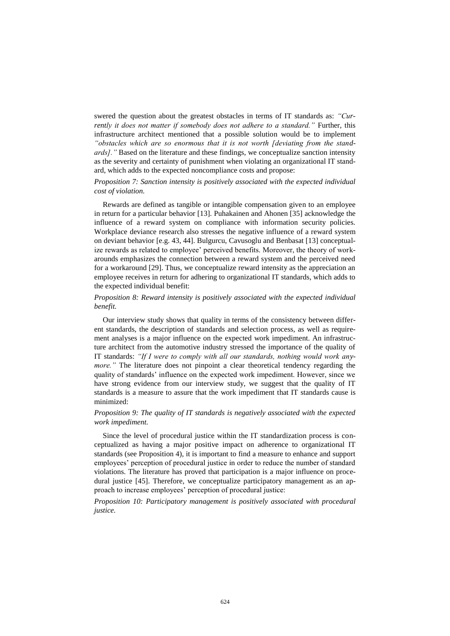swered the question about the greatest obstacles in terms of IT standards as: *"Currently it does not matter if somebody does not adhere to a standard."* Further, this infrastructure architect mentioned that a possible solution would be to implement *"obstacles which are so enormous that it is not worth [deviating from the standards]."* Based on the literature and these findings, we conceptualize sanction intensity as the severity and certainty of punishment when violating an organizational IT standard, which adds to the expected noncompliance costs and propose:

#### *Proposition 7: Sanction intensity is positively associated with the expected individual cost of violation.*

Rewards are defined as tangible or intangible compensation given to an employee in return for a particular behavior [13]. Puhakainen and Ahonen [35] acknowledge the influence of a reward system on compliance with information security policies. Workplace deviance research also stresses the negative influence of a reward system on deviant behavior [e.g. 43, 44]. Bulgurcu, Cavusoglu and Benbasat [13] conceptualize rewards as related to employee' perceived benefits. Moreover, the theory of workarounds emphasizes the connection between a reward system and the perceived need for a workaround [29]. Thus, we conceptualize reward intensity as the appreciation an employee receives in return for adhering to organizational IT standards, which adds to the expected individual benefit:

#### *Proposition 8: Reward intensity is positively associated with the expected individual benefit.*

Our interview study shows that quality in terms of the consistency between different standards, the description of standards and selection process, as well as requirement analyses is a major influence on the expected work impediment. An infrastructure architect from the automotive industry stressed the importance of the quality of IT standards: *"If I were to comply with all our standards, nothing would work anymore.*" The literature does not pinpoint a clear theoretical tendency regarding the quality of standards' influence on the expected work impediment. However, since we have strong evidence from our interview study, we suggest that the quality of IT standards is a measure to assure that the work impediment that IT standards cause is minimized:

#### *Proposition 9: The quality of IT standards is negatively associated with the expected work impediment.*

Since the level of procedural justice within the IT standardization process is conceptualized as having a major positive impact on adherence to organizational IT standards (see Proposition 4), it is important to find a measure to enhance and support employees' perception of procedural justice in order to reduce the number of standard violations. The literature has proved that participation is a major influence on procedural justice [45]. Therefore, we conceptualize participatory management as an approach to increase employees' perception of procedural justice:

*Proposition 10: Participatory management is positively associated with procedural justice.*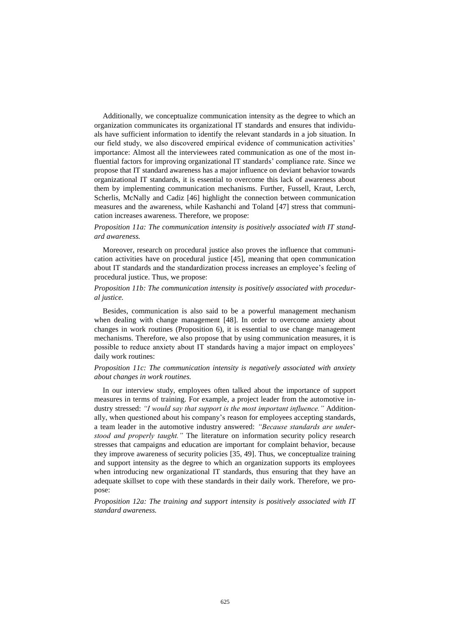Additionally, we conceptualize communication intensity as the degree to which an organization communicates its organizational IT standards and ensures that individuals have sufficient information to identify the relevant standards in a job situation. In our field study, we also discovered empirical evidence of communication activities' importance: Almost all the interviewees rated communication as one of the most influential factors for improving organizational IT standards' compliance rate. Since we propose that IT standard awareness has a major influence on deviant behavior towards organizational IT standards, it is essential to overcome this lack of awareness about them by implementing communication mechanisms. Further, Fussell, Kraut, Lerch, Scherlis, McNally and Cadiz [46] highlight the connection between communication measures and the awareness, while Kashanchi and Toland [47] stress that communication increases awareness. Therefore, we propose:

#### *Proposition 11a: The communication intensity is positively associated with IT standard awareness.*

Moreover, research on procedural justice also proves the influence that communication activities have on procedural justice [45], meaning that open communication about IT standards and the standardization process increases an employee's feeling of procedural justice. Thus, we propose:

#### *Proposition 11b: The communication intensity is positively associated with procedural justice.*

Besides, communication is also said to be a powerful management mechanism when dealing with change management [48]. In order to overcome anxiety about changes in work routines (Proposition 6), it is essential to use change management mechanisms. Therefore, we also propose that by using communication measures, it is possible to reduce anxiety about IT standards having a major impact on employees' daily work routines:

#### *Proposition 11c: The communication intensity is negatively associated with anxiety about changes in work routines.*

In our interview study, employees often talked about the importance of support measures in terms of training. For example, a project leader from the automotive industry stressed: *"I would say that support is the most important influence."* Additionally, when questioned about his company's reason for employees accepting standards, a team leader in the automotive industry answered: *"Because standards are understood and properly taught."* The literature on information security policy research stresses that campaigns and education are important for complaint behavior, because they improve awareness of security policies [35, 49]. Thus, we conceptualize training and support intensity as the degree to which an organization supports its employees when introducing new organizational IT standards, thus ensuring that they have an adequate skillset to cope with these standards in their daily work. Therefore, we propose:

#### *Proposition 12a: The training and support intensity is positively associated with IT standard awareness.*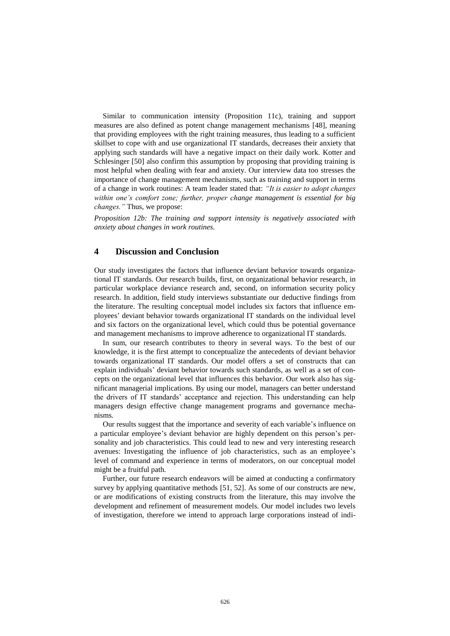Similar to communication intensity (Proposition 11c), training and support measures are also defined as potent change management mechanisms [48], meaning that providing employees with the right training measures, thus leading to a sufficient skillset to cope with and use organizational IT standards, decreases their anxiety that applying such standards will have a negative impact on their daily work. Kotter and Schlesinger [50] also confirm this assumption by proposing that providing training is most helpful when dealing with fear and anxiety. Our interview data too stresses the importance of change management mechanisms, such as training and support in terms of a change in work routines: A team leader stated that: *"It is easier to adopt changes within one's comfort zone; further, proper change management is essential for big changes."* Thus, we propose:

*Proposition 12b: The training and support intensity is negatively associated with anxiety about changes in work routines.*

#### **4 Discussion and Conclusion**

Our study investigates the factors that influence deviant behavior towards organizational IT standards. Our research builds, first, on organizational behavior research, in particular workplace deviance research and, second, on information security policy research. In addition, field study interviews substantiate our deductive findings from the literature. The resulting conceptual model includes six factors that influence employees' deviant behavior towards organizational IT standards on the individual level and six factors on the organizational level, which could thus be potential governance and management mechanisms to improve adherence to organizational IT standards.

In sum, our research contributes to theory in several ways. To the best of our knowledge, it is the first attempt to conceptualize the antecedents of deviant behavior towards organizational IT standards. Our model offers a set of constructs that can explain individuals' deviant behavior towards such standards, as well as a set of concepts on the organizational level that influences this behavior. Our work also has significant managerial implications. By using our model, managers can better understand the drivers of IT standards' acceptance and rejection. This understanding can help managers design effective change management programs and governance mechanisms.

Our results suggest that the importance and severity of each variable's influence on a particular employee's deviant behavior are highly dependent on this person's personality and job characteristics. This could lead to new and very interesting research avenues: Investigating the influence of job characteristics, such as an employee's level of command and experience in terms of moderators, on our conceptual model might be a fruitful path.

Further, our future research endeavors will be aimed at conducting a confirmatory survey by applying quantitative methods [51, 52]. As some of our constructs are new, or are modifications of existing constructs from the literature, this may involve the development and refinement of measurement models. Our model includes two levels of investigation, therefore we intend to approach large corporations instead of indi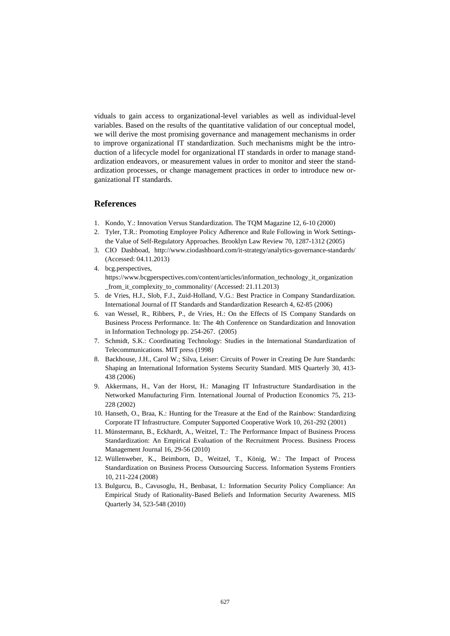viduals to gain access to organizational-level variables as well as individual-level variables. Based on the results of the quantitative validation of our conceptual model, we will derive the most promising governance and management mechanisms in order to improve organizational IT standardization. Such mechanisms might be the introduction of a lifecycle model for organizational IT standards in order to manage standardization endeavors, or measurement values in order to monitor and steer the standardization processes, or change management practices in order to introduce new organizational IT standards.

## **References**

- 1. Kondo, Y.: Innovation Versus Standardization. The TQM Magazine 12, 6-10 (2000)
- 2. Tyler, T.R.: Promoting Employee Policy Adherence and Rule Following in Work Settingsthe Value of Self-Regulatory Approaches. Brooklyn Law Review 70, 1287-1312 (2005)
- 3. CIO Dashboad, http://www.ciodashboard.com/it-strategy/analytics-governance-standards/ (Accessed: 04.11.2013)
- 4. bcg.perspectives, https://www.bcgperspectives.com/content/articles/information\_technology\_it\_organization \_from\_it\_complexity\_to\_commonality/ (Accessed: 21.11.2013)
- 5. de Vries, H.J., Slob, F.J., Zuid-Holland, V.G.: Best Practice in Company Standardization. International Journal of IT Standards and Standardization Research 4, 62-85 (2006)
- 6. van Wessel, R., Ribbers, P., de Vries, H.: On the Effects of IS Company Standards on Business Process Performance. In: The 4th Conference on Standardization and Innovation in Information Technology pp. 254-267. (2005)
- 7. Schmidt, S.K.: Coordinating Technology: Studies in the International Standardization of Telecommunications. MIT press (1998)
- 8. Backhouse, J.H., Carol W.; Silva, Leiser: Circuits of Power in Creating De Jure Standards: Shaping an International Information Systems Security Standard. MIS Quarterly 30, 413- 438 (2006)
- 9. Akkermans, H., Van der Horst, H.: Managing IT Infrastructure Standardisation in the Networked Manufacturing Firm. International Journal of Production Economics 75, 213- 228 (2002)
- 10. Hanseth, O., Braa, K.: Hunting for the Treasure at the End of the Rainbow: Standardizing Corporate IT Infrastructure. Computer Supported Cooperative Work 10, 261-292 (2001)
- 11. Münstermann, B., Eckhardt, A., Weitzel, T.: The Performance Impact of Business Process Standardization: An Empirical Evaluation of the Recruitment Process. Business Process Management Journal 16, 29-56 (2010)
- 12. Wüllenweber, K., Beimborn, D., Weitzel, T., König, W.: The Impact of Process Standardization on Business Process Outsourcing Success. Information Systems Frontiers 10, 211-224 (2008)
- 13. Bulgurcu, B., Cavusoglu, H., Benbasat, I.: Information Security Policy Compliance: An Empirical Study of Rationality-Based Beliefs and Information Security Awareness. MIS Quarterly 34, 523-548 (2010)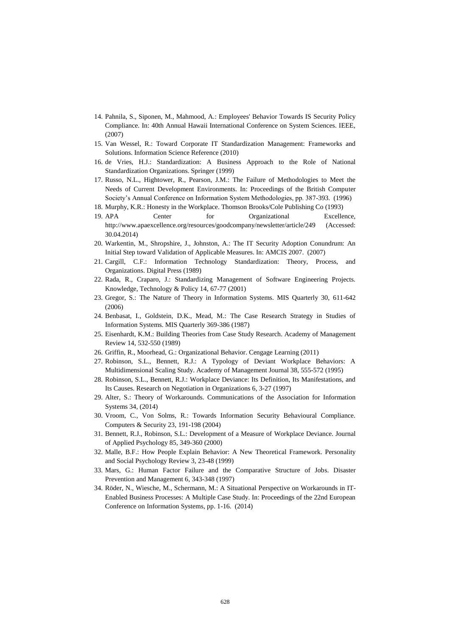- 14. Pahnila, S., Siponen, M., Mahmood, A.: Employees' Behavior Towards IS Security Policy Compliance. In: 40th Annual Hawaii International Conference on System Sciences. IEEE, (2007)
- 15. Van Wessel, R.: Toward Corporate IT Standardization Management: Frameworks and Solutions. Information Science Reference (2010)
- 16. de Vries, H.J.: Standardization: A Business Approach to the Role of National Standardization Organizations. Springer (1999)
- 17. Russo, N.L., Hightower, R., Pearson, J.M.: The Failure of Methodologies to Meet the Needs of Current Development Environments. In: Proceedings of the British Computer Society's Annual Conference on Information System Methodologies, pp. 387-393. (1996)
- 18. Murphy, K.R.: Honesty in the Workplace. Thomson Brooks/Cole Publishing Co (1993)
- 19. APA Center for Organizational Excellence, http://www.apaexcellence.org/resources/goodcompany/newsletter/article/249 (Accessed: 30.04.2014)
- 20. Warkentin, M., Shropshire, J., Johnston, A.: The IT Security Adoption Conundrum: An Initial Step toward Validation of Applicable Measures. In: AMCIS 2007. (2007)
- 21. Cargill, C.F.: Information Technology Standardization: Theory, Process, and Organizations. Digital Press (1989)
- 22. Rada, R., Craparo, J.: Standardizing Management of Software Engineering Projects. Knowledge, Technology & Policy 14, 67-77 (2001)
- 23. Gregor, S.: The Nature of Theory in Information Systems. MIS Quarterly 30, 611-642 (2006)
- 24. Benbasat, I., Goldstein, D.K., Mead, M.: The Case Research Strategy in Studies of Information Systems. MIS Quarterly 369-386 (1987)
- 25. Eisenhardt, K.M.: Building Theories from Case Study Research. Academy of Management Review 14, 532-550 (1989)
- 26. Griffin, R., Moorhead, G.: Organizational Behavior. Cengage Learning (2011)
- 27. Robinson, S.L., Bennett, R.J.: A Typology of Deviant Workplace Behaviors: A Multidimensional Scaling Study. Academy of Management Journal 38, 555-572 (1995)
- 28. Robinson, S.L., Bennett, R.J.: Workplace Deviance: Its Definition, Its Manifestations, and Its Causes. Research on Negotiation in Organizations 6, 3-27 (1997)
- 29. Alter, S.: Theory of Workarounds. Communications of the Association for Information Systems 34, (2014)
- 30. Vroom, C., Von Solms, R.: Towards Information Security Behavioural Compliance. Computers & Security 23, 191-198 (2004)
- 31. Bennett, R.J., Robinson, S.L.: Development of a Measure of Workplace Deviance. Journal of Applied Psychology 85, 349-360 (2000)
- 32. Malle, B.F.: How People Explain Behavior: A New Theoretical Framework. Personality and Social Psychology Review 3, 23-48 (1999)
- 33. Mars, G.: Human Factor Failure and the Comparative Structure of Jobs. Disaster Prevention and Management 6, 343-348 (1997)
- 34. Röder, N., Wiesche, M., Schermann, M.: A Situational Perspective on Workarounds in IT-Enabled Business Processes: A Multiple Case Study. In: Proceedings of the 22nd European Conference on Information Systems, pp. 1-16. (2014)